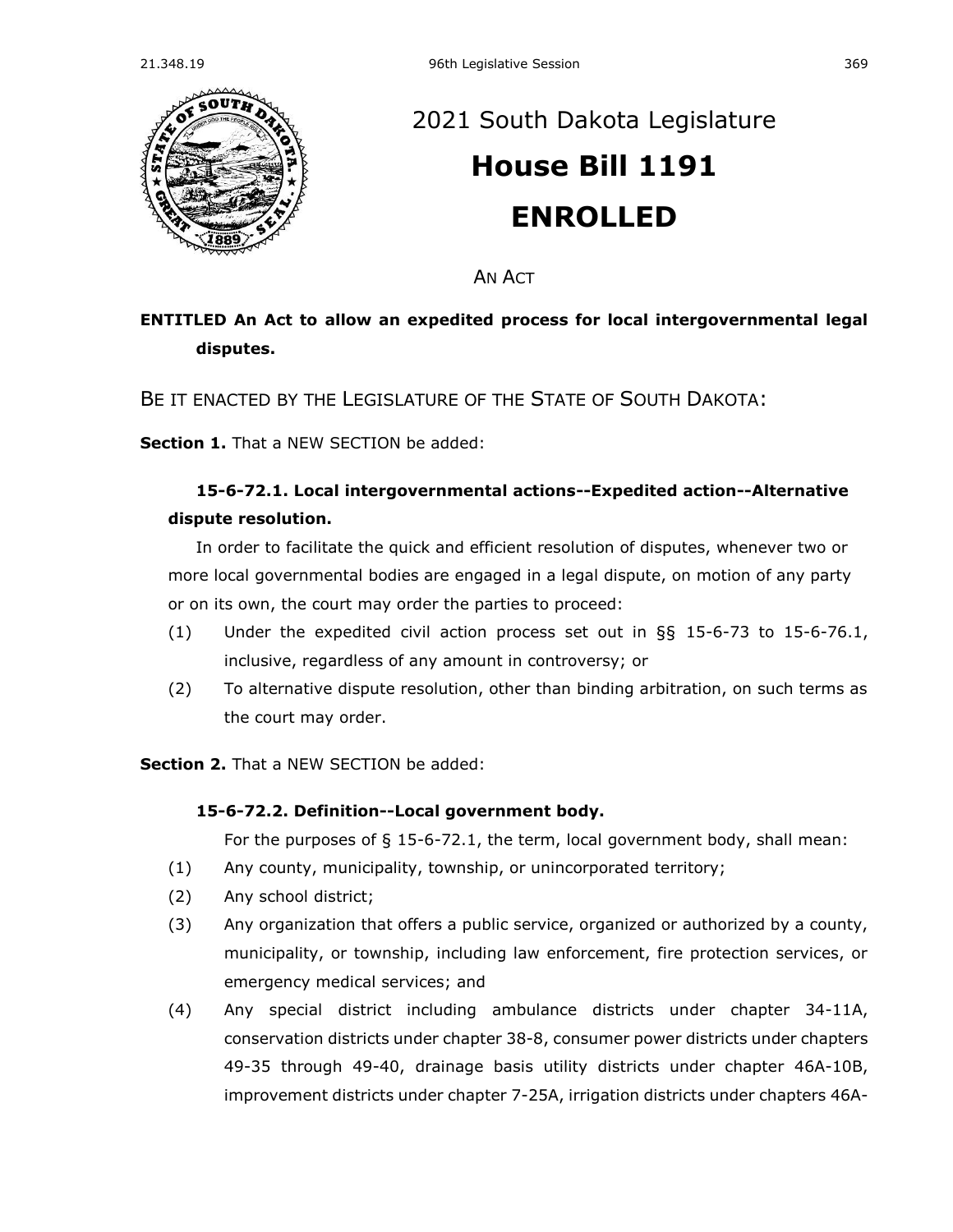

## [2021 South Dakota Legislature](https://sdlegislature.gov/Session/Bills/44) **[House Bill 1191](https://sdlegislature.gov/Session/Bill/22068) ENROLLED**

AN ACT

## **ENTITLED An Act to allow an expedited process for local intergovernmental legal disputes.**

BE IT ENACTED BY THE LEGISLATURE OF THE STATE OF SOUTH DAKOTA:

**Section 1.** That a NEW SECTION be added:

## **15-6-72.1. Local intergovernmental actions--Expedited action--Alternative dispute resolution.**

In order to facilitate the quick and efficient resolution of disputes, whenever two or more local governmental bodies are engaged in a legal dispute, on motion of any party or on its own, the court may order the parties to proceed:

- (1) Under the expedited civil action process set out in §§ [15-6-73](https://sdlegislature.gov/Statutes/Codified_Laws/DisplayStatute.aspx?Type=Statute&Statute=15-6-73) to [15-6-76.1,](https://sdlegislature.gov/Statutes/Codified_Laws/DisplayStatute.aspx?Type=Statute&Statute=15-6-76.1) inclusive, regardless of any amount in controversy; or
- (2) To alternative dispute resolution, other than binding arbitration, on such terms as the court may order.

**Section 2.** That a NEW SECTION be added:

## **15-6-72.2. Definition--Local government body.**

For the purposes of § 15-6-72.1, the term, local government body, shall mean:

- (1) Any county, municipality, township, or unincorporated territory;
- (2) Any school district;
- (3) Any organization that offers a public service, organized or authorized by a county, municipality, or township, including law enforcement, fire protection services, or emergency medical services; and
- (4) Any special district including ambulance districts under chapter [34-11A,](https://sdlegislature.gov/Statutes/Codified_Laws/DisplayStatute.aspx?Type=Statute&Statute=34-11A) conservation districts under chapter [38-8,](https://sdlegislature.gov/Statutes/Codified_Laws/DisplayStatute.aspx?Type=Statute&Statute=38-8) consumer power districts under chapters [49-35](https://sdlegislature.gov/Statutes/Codified_Laws/DisplayStatute.aspx?Type=Statute&Statute=49-35) through [49-40,](https://sdlegislature.gov/Statutes/Codified_Laws/DisplayStatute.aspx?Type=Statute&Statute=49-40) drainage basis utility districts under chapter [46A-10B,](https://sdlegislature.gov/Statutes/Codified_Laws/DisplayStatute.aspx?Type=Statute&Statute=46A-10B) improvement districts under chapter [7-25A,](https://sdlegislature.gov/Statutes/Codified_Laws/DisplayStatute.aspx?Type=Statute&Statute=7-25A) irrigation districts under chapters [46A-](https://sdlegislature.gov/Statutes/Codified_Laws/DisplayStatute.aspx?Type=Statute&Statute=46A-4)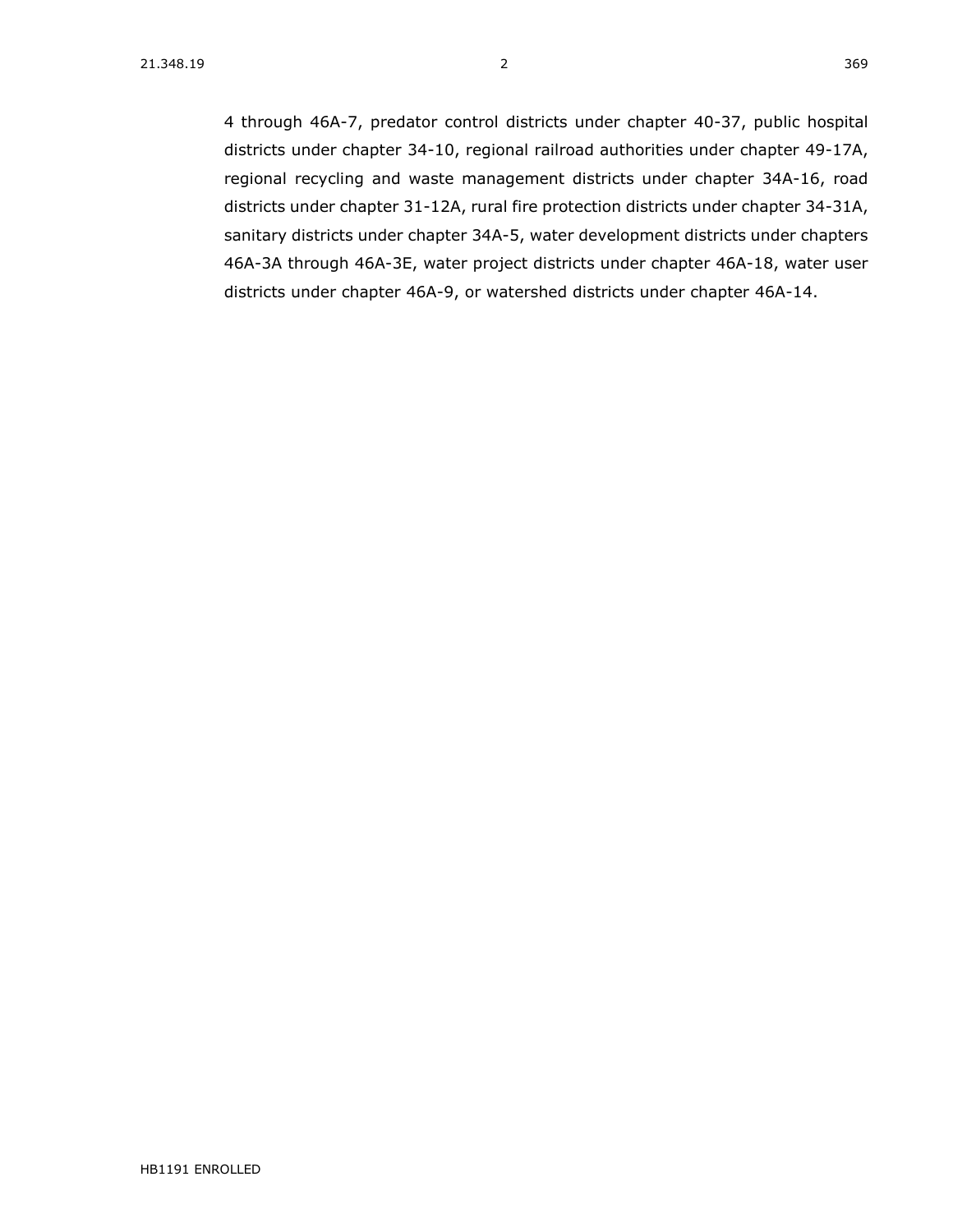[4](https://sdlegislature.gov/Statutes/Codified_Laws/DisplayStatute.aspx?Type=Statute&Statute=46A-4) through [46A-7,](https://sdlegislature.gov/Statutes/Codified_Laws/DisplayStatute.aspx?Type=Statute&Statute=46A-7) predator control districts under chapter [40-37,](https://sdlegislature.gov/Statutes/Codified_Laws/DisplayStatute.aspx?Type=Statute&Statute=40-37) public hospital districts under chapter [34-10,](https://sdlegislature.gov/Statutes/Codified_Laws/DisplayStatute.aspx?Type=Statute&Statute=34-10) regional railroad authorities under chapter [49-17A,](https://sdlegislature.gov/Statutes/Codified_Laws/DisplayStatute.aspx?Type=Statute&Statute=49-17A) regional recycling and waste management districts under chapter [34A-16,](https://sdlegislature.gov/Statutes/Codified_Laws/DisplayStatute.aspx?Type=Statute&Statute=34A-16) road districts under chapter [31-12A,](https://sdlegislature.gov/Statutes/Codified_Laws/DisplayStatute.aspx?Type=Statute&Statute=31-12A) rural fire protection districts under chapter [34-31A,](https://sdlegislature.gov/Statutes/Codified_Laws/DisplayStatute.aspx?Type=Statute&Statute=34-31A) sanitary districts under chapter [34A-5,](https://sdlegislature.gov/Statutes/Codified_Laws/DisplayStatute.aspx?Type=Statute&Statute=34A-5) water development districts under chapters [46A-3A](https://sdlegislature.gov/Statutes/Codified_Laws/DisplayStatute.aspx?Type=Statute&Statute=46A-3A) through [46A-3E,](https://sdlegislature.gov/Statutes/Codified_Laws/DisplayStatute.aspx?Type=Statute&Statute=46A-3E) water project districts under chapter [46A-18,](https://sdlegislature.gov/Statutes/Codified_Laws/DisplayStatute.aspx?Type=Statute&Statute=46A-18) water user districts under chapter [46A-9,](https://sdlegislature.gov/Statutes/Codified_Laws/DisplayStatute.aspx?Type=Statute&Statute=46A-9) or watershed districts under chapter [46A-14.](https://sdlegislature.gov/Statutes/Codified_Laws/DisplayStatute.aspx?Type=Statute&Statute=46A-14)